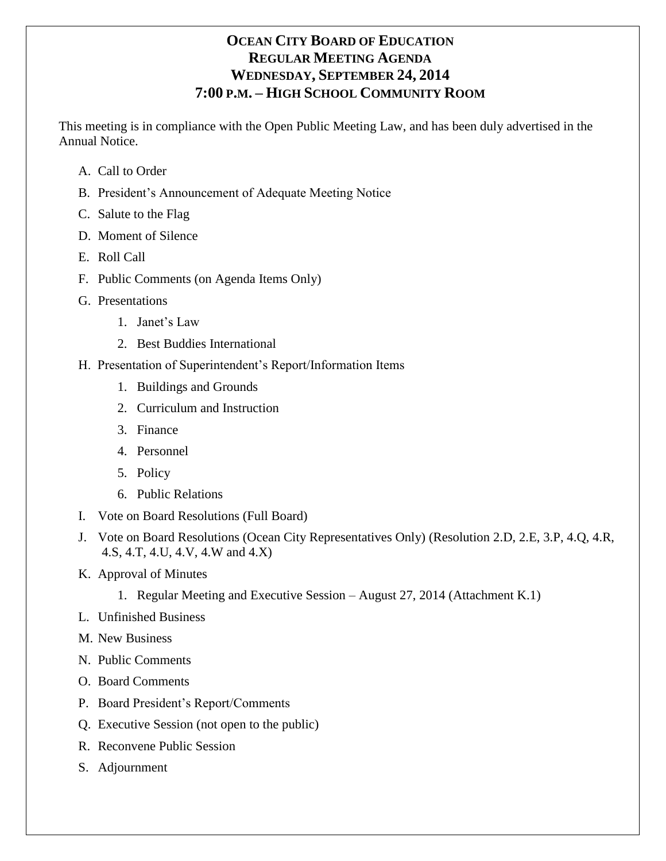# **OCEAN CITY BOARD OF EDUCATION REGULAR MEETING AGENDA WEDNESDAY, SEPTEMBER 24, 2014 7:00 P.M. – HIGH SCHOOL COMMUNITY ROOM**

This meeting is in compliance with the Open Public Meeting Law, and has been duly advertised in the Annual Notice.

- A. Call to Order
- B. President's Announcement of Adequate Meeting Notice
- C. Salute to the Flag
- D. Moment of Silence
- E. Roll Call
- F. Public Comments (on Agenda Items Only)
- G. Presentations
	- 1. Janet's Law
	- 2. Best Buddies International
- H. Presentation of Superintendent's Report/Information Items
	- 1. Buildings and Grounds
	- 2. Curriculum and Instruction
	- 3. Finance
	- 4. Personnel
	- 5. Policy
	- 6. Public Relations
- I. Vote on Board Resolutions (Full Board)
- J. Vote on Board Resolutions (Ocean City Representatives Only) (Resolution 2.D, 2.E, 3.P, 4.Q, 4.R, 4.S, 4.T, 4.U, 4.V, 4.W and 4.X)
- K. Approval of Minutes
	- 1. Regular Meeting and Executive Session August 27, 2014 (Attachment K.1)
- L. Unfinished Business
- M. New Business
- N. Public Comments
- O. Board Comments
- P. Board President's Report/Comments
- Q. Executive Session (not open to the public)
- R. Reconvene Public Session
- S. Adjournment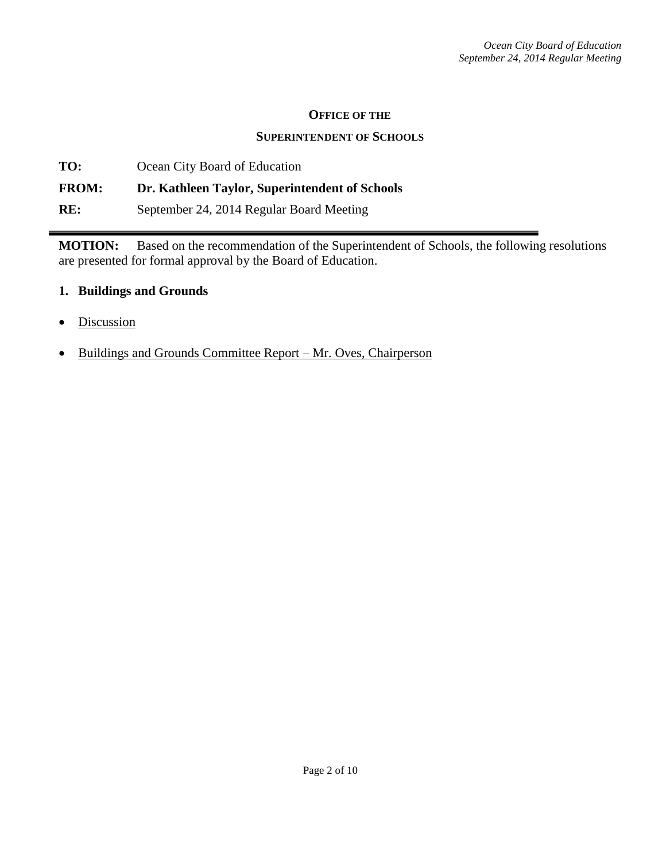#### **OFFICE OF THE**

#### **SUPERINTENDENT OF SCHOOLS**

**TO:** Ocean City Board of Education **FROM: Dr. Kathleen Taylor, Superintendent of Schools RE:** September 24, 2014 Regular Board Meeting

**MOTION:** Based on the recommendation of the Superintendent of Schools, the following resolutions are presented for formal approval by the Board of Education.

#### **1. Buildings and Grounds**

- Discussion
- Buildings and Grounds Committee Report Mr. Oves, Chairperson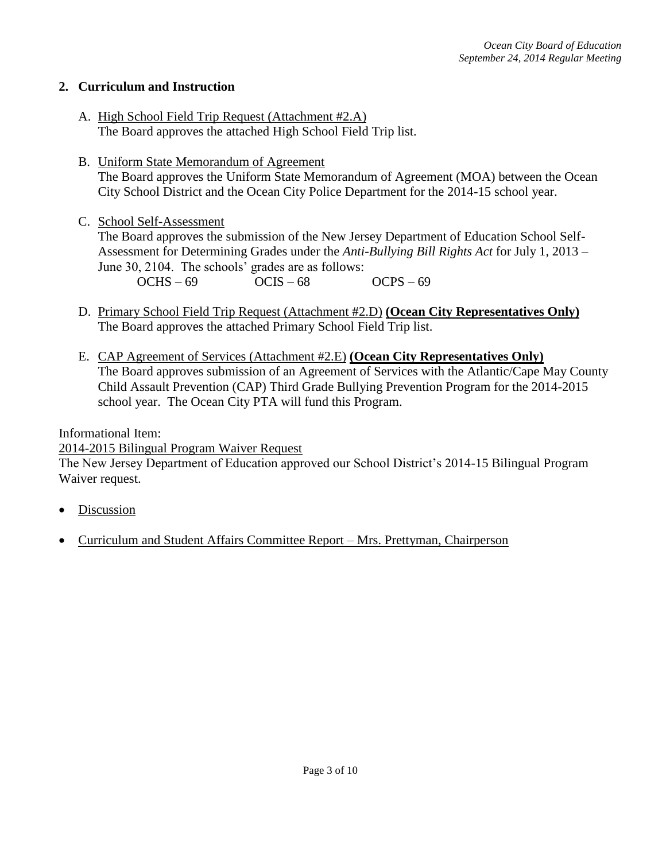## **2. Curriculum and Instruction**

- A. High School Field Trip Request (Attachment #2.A) The Board approves the attached High School Field Trip list.
- B. Uniform State Memorandum of Agreement The Board approves the Uniform State Memorandum of Agreement (MOA) between the Ocean City School District and the Ocean City Police Department for the 2014-15 school year.

#### C. School Self-Assessment

The Board approves the submission of the New Jersey Department of Education School Self-Assessment for Determining Grades under the *Anti-Bullying Bill Rights Act* for July 1, 2013 – June 30, 2104. The schools' grades are as follows:  $OCHS - 69$   $OCIS - 68$   $OCPS - 69$ 

- D. Primary School Field Trip Request (Attachment #2.D) **(Ocean City Representatives Only)** The Board approves the attached Primary School Field Trip list.
- E. CAP Agreement of Services (Attachment #2.E) **(Ocean City Representatives Only)** The Board approves submission of an Agreement of Services with the Atlantic/Cape May County Child Assault Prevention (CAP) Third Grade Bullying Prevention Program for the 2014-2015 school year. The Ocean City PTA will fund this Program.

Informational Item:

# 2014-2015 Bilingual Program Waiver Request

The New Jersey Department of Education approved our School District's 2014-15 Bilingual Program Waiver request.

- Discussion
- Curriculum and Student Affairs Committee Report Mrs. Prettyman, Chairperson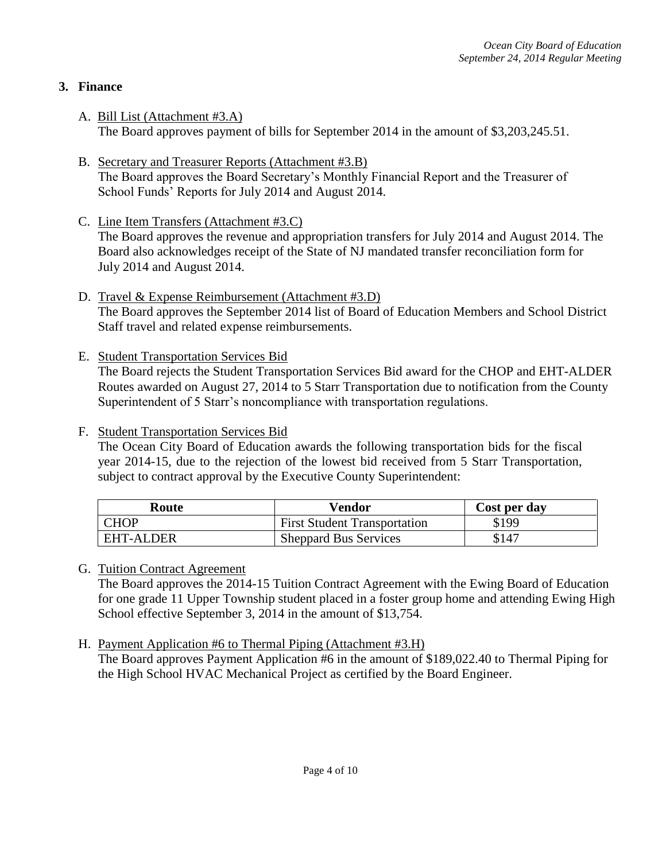# **3. Finance**

- A. Bill List (Attachment #3.A) The Board approves payment of bills for September 2014 in the amount of \$3,203,245.51.
- B. Secretary and Treasurer Reports (Attachment #3.B) The Board approves the Board Secretary's Monthly Financial Report and the Treasurer of School Funds' Reports for July 2014 and August 2014.
- C. Line Item Transfers (Attachment #3.C) The Board approves the revenue and appropriation transfers for July 2014 and August 2014. The Board also acknowledges receipt of the State of NJ mandated transfer reconciliation form for July 2014 and August 2014.
- D. Travel & Expense Reimbursement (Attachment #3.D) The Board approves the September 2014 list of Board of Education Members and School District Staff travel and related expense reimbursements.
- E. Student Transportation Services Bid

The Board rejects the Student Transportation Services Bid award for the CHOP and EHT-ALDER Routes awarded on August 27, 2014 to 5 Starr Transportation due to notification from the County Superintendent of 5 Starr's noncompliance with transportation regulations.

F. Student Transportation Services Bid

The Ocean City Board of Education awards the following transportation bids for the fiscal year 2014-15, due to the rejection of the lowest bid received from 5 Starr Transportation, subject to contract approval by the Executive County Superintendent:

| Route            | Vendor                              | Cost per day |
|------------------|-------------------------------------|--------------|
| <b>CHOP</b>      | <b>First Student Transportation</b> | \$199        |
| <b>EHT-ALDER</b> | <b>Sheppard Bus Services</b>        | \$147        |

G. Tuition Contract Agreement

The Board approves the 2014-15 Tuition Contract Agreement with the Ewing Board of Education for one grade 11 Upper Township student placed in a foster group home and attending Ewing High School effective September 3, 2014 in the amount of \$13,754.

H. Payment Application #6 to Thermal Piping (Attachment #3.H) The Board approves Payment Application #6 in the amount of \$189,022.40 to Thermal Piping for the High School HVAC Mechanical Project as certified by the Board Engineer.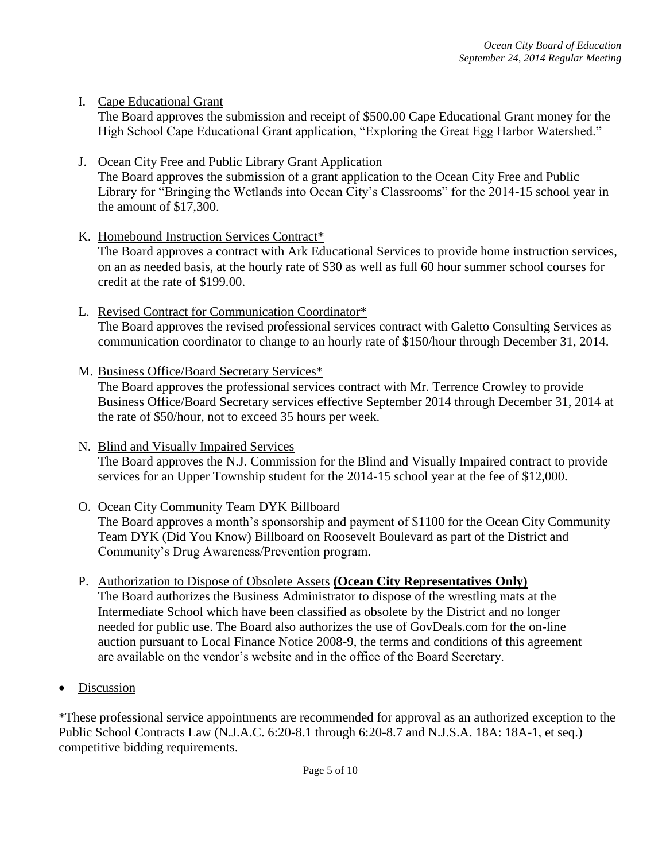#### I. Cape Educational Grant

The Board approves the submission and receipt of \$500.00 Cape Educational Grant money for the High School Cape Educational Grant application, "Exploring the Great Egg Harbor Watershed."

#### J. Ocean City Free and Public Library Grant Application

The Board approves the submission of a grant application to the Ocean City Free and Public Library for "Bringing the Wetlands into Ocean City's Classrooms" for the 2014-15 school year in the amount of \$17,300.

K. Homebound Instruction Services Contract\*

The Board approves a contract with Ark Educational Services to provide home instruction services, on an as needed basis, at the hourly rate of \$30 as well as full 60 hour summer school courses for credit at the rate of \$199.00.

- L. Revised Contract for Communication Coordinator\* The Board approves the revised professional services contract with Galetto Consulting Services as communication coordinator to change to an hourly rate of \$150/hour through December 31, 2014.
- M. Business Office/Board Secretary Services\*

The Board approves the professional services contract with Mr. Terrence Crowley to provide Business Office/Board Secretary services effective September 2014 through December 31, 2014 at the rate of \$50/hour, not to exceed 35 hours per week.

N. Blind and Visually Impaired Services

The Board approves the N.J. Commission for the Blind and Visually Impaired contract to provide services for an Upper Township student for the 2014-15 school year at the fee of \$12,000.

# O. Ocean City Community Team DYK Billboard

The Board approves a month's sponsorship and payment of \$1100 for the Ocean City Community Team DYK (Did You Know) Billboard on Roosevelt Boulevard as part of the District and Community's Drug Awareness/Prevention program.

- P. Authorization to Dispose of Obsolete Assets **(Ocean City Representatives Only)** The Board authorizes the Business Administrator to dispose of the wrestling mats at the Intermediate School which have been classified as obsolete by the District and no longer needed for public use. The Board also authorizes the use of GovDeals.com for the on-line auction pursuant to Local Finance Notice 2008-9, the terms and conditions of this agreement are available on the vendor's website and in the office of the Board Secretary.
- Discussion

\*These professional service appointments are recommended for approval as an authorized exception to the Public School Contracts Law (N.J.A.C. 6:20-8.1 through 6:20-8.7 and N.J.S.A. 18A: 18A-1, et seq.) competitive bidding requirements.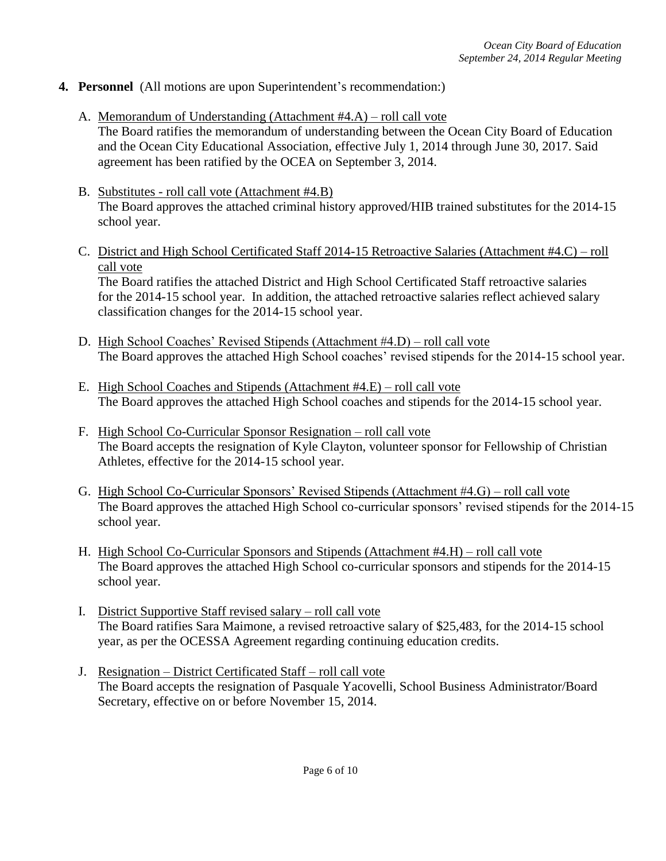- **4. Personnel** (All motions are upon Superintendent's recommendation:)
	- A. Memorandum of Understanding (Attachment #4.A) roll call vote The Board ratifies the memorandum of understanding between the Ocean City Board of Education and the Ocean City Educational Association, effective July 1, 2014 through June 30, 2017. Said agreement has been ratified by the OCEA on September 3, 2014.
	- B. Substitutes roll call vote (Attachment #4.B) The Board approves the attached criminal history approved/HIB trained substitutes for the 2014-15 school year.
	- C. District and High School Certificated Staff 2014-15 Retroactive Salaries (Attachment #4.C) roll call vote

The Board ratifies the attached District and High School Certificated Staff retroactive salaries for the 2014-15 school year. In addition, the attached retroactive salaries reflect achieved salary classification changes for the 2014-15 school year.

- D. High School Coaches' Revised Stipends (Attachment #4.D) roll call vote The Board approves the attached High School coaches' revised stipends for the 2014-15 school year.
- E. High School Coaches and Stipends (Attachment #4.E) roll call vote The Board approves the attached High School coaches and stipends for the 2014-15 school year.
- F. High School Co-Curricular Sponsor Resignation roll call vote The Board accepts the resignation of Kyle Clayton, volunteer sponsor for Fellowship of Christian Athletes, effective for the 2014-15 school year.
- G. High School Co-Curricular Sponsors' Revised Stipends (Attachment #4.G) roll call vote The Board approves the attached High School co-curricular sponsors' revised stipends for the 2014-15 school year.
- H. High School Co-Curricular Sponsors and Stipends (Attachment #4.H) roll call vote The Board approves the attached High School co-curricular sponsors and stipends for the 2014-15 school year.
- I. District Supportive Staff revised salary roll call vote The Board ratifies Sara Maimone, a revised retroactive salary of \$25,483, for the 2014-15 school year, as per the OCESSA Agreement regarding continuing education credits.
- J. Resignation District Certificated Staff roll call vote The Board accepts the resignation of Pasquale Yacovelli, School Business Administrator/Board Secretary, effective on or before November 15, 2014.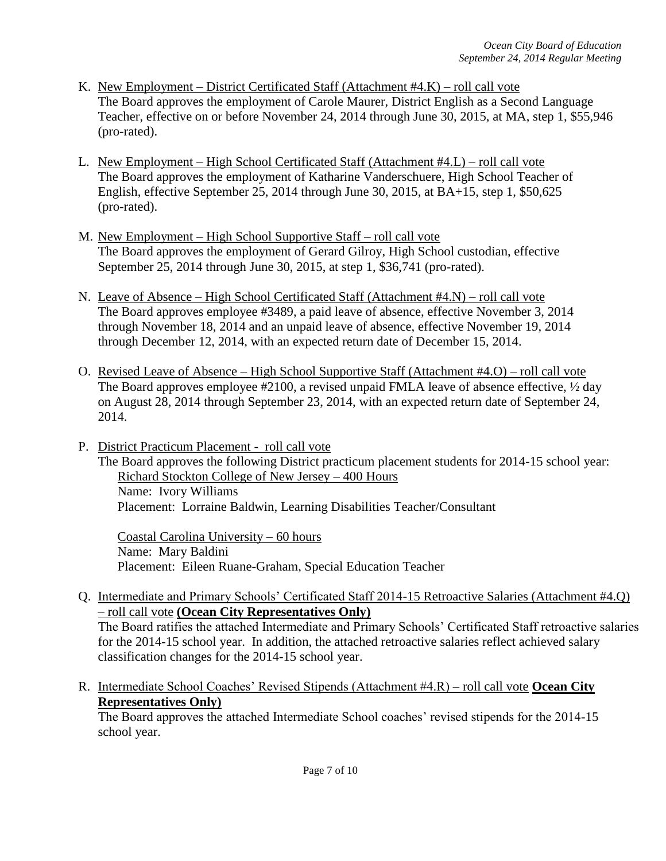- K. New Employment District Certificated Staff (Attachment #4.K) roll call vote The Board approves the employment of Carole Maurer, District English as a Second Language Teacher, effective on or before November 24, 2014 through June 30, 2015, at MA, step 1, \$55,946 (pro-rated).
- L. New Employment High School Certificated Staff (Attachment #4.L) roll call vote The Board approves the employment of Katharine Vanderschuere, High School Teacher of English, effective September 25, 2014 through June 30, 2015, at BA+15, step 1, \$50,625 (pro-rated).
- M. New Employment High School Supportive Staff roll call vote The Board approves the employment of Gerard Gilroy, High School custodian, effective September 25, 2014 through June 30, 2015, at step 1, \$36,741 (pro-rated).
- N. Leave of Absence High School Certificated Staff (Attachment #4.N) roll call vote The Board approves employee #3489, a paid leave of absence, effective November 3, 2014 through November 18, 2014 and an unpaid leave of absence, effective November 19, 2014 through December 12, 2014, with an expected return date of December 15, 2014.
- O. Revised Leave of Absence High School Supportive Staff (Attachment #4.O) roll call vote The Board approves employee #2100, a revised unpaid FMLA leave of absence effective,  $\frac{1}{2}$  day on August 28, 2014 through September 23, 2014, with an expected return date of September 24, 2014.
- P. District Practicum Placement roll call vote The Board approves the following District practicum placement students for 2014-15 school year: Richard Stockton College of New Jersey – 400 Hours Name: Ivory Williams Placement: Lorraine Baldwin, Learning Disabilities Teacher/Consultant

Coastal Carolina University – 60 hours Name: Mary Baldini Placement: Eileen Ruane-Graham, Special Education Teacher

Q. Intermediate and Primary Schools' Certificated Staff 2014-15 Retroactive Salaries (Attachment #4.Q) – roll call vote **(Ocean City Representatives Only)** The Board ratifies the attached Intermediate and Primary Schools' Certificated Staff retroactive salaries

for the 2014-15 school year. In addition, the attached retroactive salaries reflect achieved salary classification changes for the 2014-15 school year.

R. Intermediate School Coaches' Revised Stipends (Attachment #4.R) – roll call vote **Ocean City Representatives Only)**

The Board approves the attached Intermediate School coaches' revised stipends for the 2014-15 school year.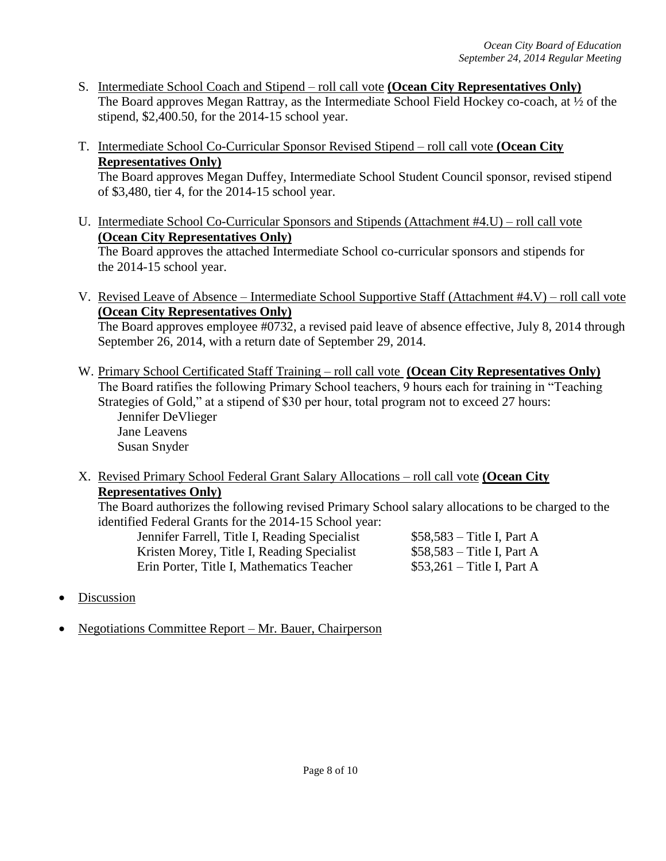- S. Intermediate School Coach and Stipend roll call vote **(Ocean City Representatives Only)** The Board approves Megan Rattray, as the Intermediate School Field Hockey co-coach, at 1/2 of the stipend, \$2,400.50, for the 2014-15 school year.
- T. Intermediate School Co-Curricular Sponsor Revised Stipend roll call vote **(Ocean City Representatives Only)**

The Board approves Megan Duffey, Intermediate School Student Council sponsor, revised stipend of \$3,480, tier 4, for the 2014-15 school year.

U. Intermediate School Co-Curricular Sponsors and Stipends (Attachment #4.U) – roll call vote **(Ocean City Representatives Only)**

The Board approves the attached Intermediate School co-curricular sponsors and stipends for the 2014-15 school year.

V. Revised Leave of Absence – Intermediate School Supportive Staff (Attachment #4.V) – roll call vote **(Ocean City Representatives Only)** The Board approves employee #0732, a revised paid leave of absence effective, July 8, 2014 through

September 26, 2014, with a return date of September 29, 2014.

- W. Primary School Certificated Staff Training roll call vote **(Ocean City Representatives Only)** The Board ratifies the following Primary School teachers, 9 hours each for training in "Teaching Strategies of Gold," at a stipend of \$30 per hour, total program not to exceed 27 hours: Jennifer DeVlieger Jane Leavens Susan Snyder
- X. Revised Primary School Federal Grant Salary Allocations roll call vote **(Ocean City Representatives Only)**

The Board authorizes the following revised Primary School salary allocations to be charged to the identified Federal Grants for the 2014-15 School year:

Jennifer Farrell, Title I, Reading Specialist \$58,583 – Title I, Part A Kristen Morey, Title I, Reading Specialist \$58,583 – Title I, Part A Erin Porter, Title I, Mathematics Teacher \$53,261 – Title I, Part A

- Discussion
- Negotiations Committee Report Mr. Bauer, Chairperson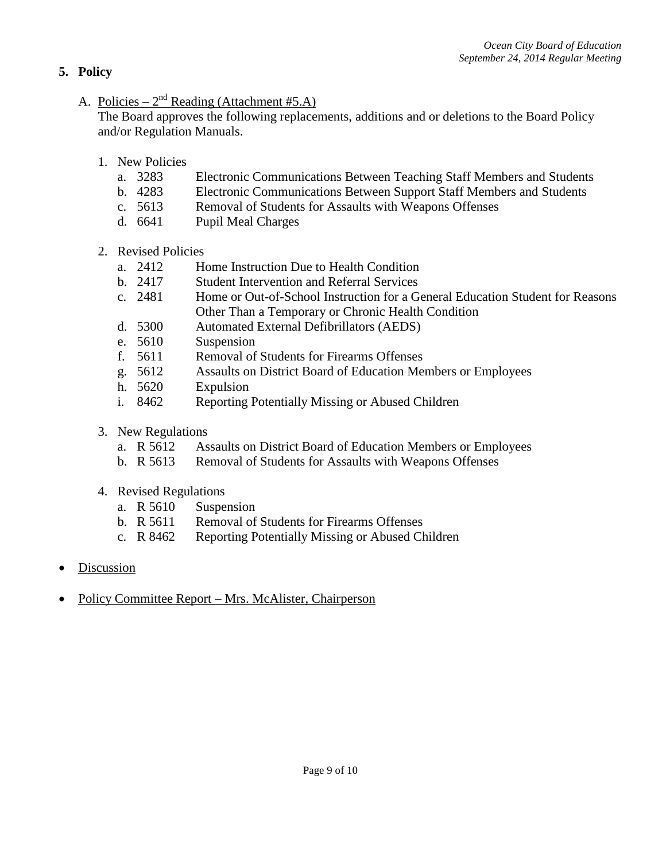# **5. Policy**

A. Policies –  $2^{nd}$  Reading (Attachment #5.A)

The Board approves the following replacements, additions and or deletions to the Board Policy and/or Regulation Manuals.

- 1. New Policies
	- a. 3283 Electronic Communications Between Teaching Staff Members and Students
	- b. 4283 Electronic Communications Between Support Staff Members and Students
	- c. 5613 Removal of Students for Assaults with Weapons Offenses
	- d. 6641 Pupil Meal Charges
- 2. Revised Policies
	- a. 2412 Home Instruction Due to Health Condition
	- b. 2417 Student Intervention and Referral Services
	- c. 2481 Home or Out-of-School Instruction for a General Education Student for Reasons Other Than a Temporary or Chronic Health Condition
	- d. 5300 Automated External Defibrillators (AEDS)
	- e. 5610 Suspension
	- f. 5611 Removal of Students for Firearms Offenses
	- g. 5612 Assaults on District Board of Education Members or Employees
	- h. 5620 Expulsion
	- i. 8462 Reporting Potentially Missing or Abused Children
- 3. New Regulations
	- a. R 5612 Assaults on District Board of Education Members or Employees
	- b. R 5613 Removal of Students for Assaults with Weapons Offenses
- 4. Revised Regulations
	- a. R 5610 Suspension
	- b. R 5611 Removal of Students for Firearms Offenses
	- c. R 8462 Reporting Potentially Missing or Abused Children
- **Discussion**
- Policy Committee Report Mrs. McAlister, Chairperson